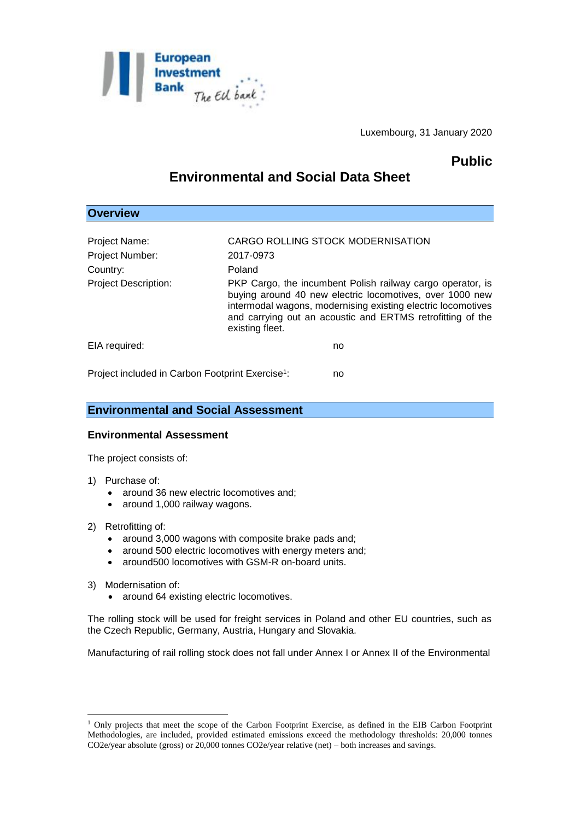

Luxembourg, 31 January 2020

# **Public**

# **Environmental and Social Data Sheet**

## **Overview**

| Project Name:                                                | CARGO ROLLING STOCK MODERNISATION                                                                                                                                                                                                                                       |
|--------------------------------------------------------------|-------------------------------------------------------------------------------------------------------------------------------------------------------------------------------------------------------------------------------------------------------------------------|
| Project Number:                                              | 2017-0973                                                                                                                                                                                                                                                               |
| Country:                                                     | Poland                                                                                                                                                                                                                                                                  |
| <b>Project Description:</b>                                  | PKP Cargo, the incumbent Polish railway cargo operator, is<br>buying around 40 new electric locomotives, over 1000 new<br>intermodal wagons, modernising existing electric locomotives<br>and carrying out an acoustic and ERTMS retrofitting of the<br>existing fleet. |
| EIA required:                                                | no                                                                                                                                                                                                                                                                      |
| Project included in Carbon Footprint Exercise <sup>1</sup> : | no                                                                                                                                                                                                                                                                      |

### **Environmental and Social Assessment**

### **Environmental Assessment**

The project consists of:

- 1) Purchase of:
	- around 36 new electric locomotives and;
	- around 1,000 railway wagons.
- 2) Retrofitting of:
	- around 3,000 wagons with composite brake pads and:
	- around 500 electric locomotives with energy meters and;
	- around500 locomotives with GSM-R on-board units.
- 3) Modernisation of:

1

• around 64 existing electric locomotives.

The rolling stock will be used for freight services in Poland and other EU countries, such as the Czech Republic, Germany, Austria, Hungary and Slovakia.

Manufacturing of rail rolling stock does not fall under Annex I or Annex II of the Environmental

<sup>&</sup>lt;sup>1</sup> Only projects that meet the scope of the Carbon Footprint Exercise, as defined in the EIB Carbon Footprint Methodologies, are included, provided estimated emissions exceed the methodology thresholds: 20,000 tonnes CO2e/year absolute (gross) or 20,000 tonnes CO2e/year relative (net) – both increases and savings.